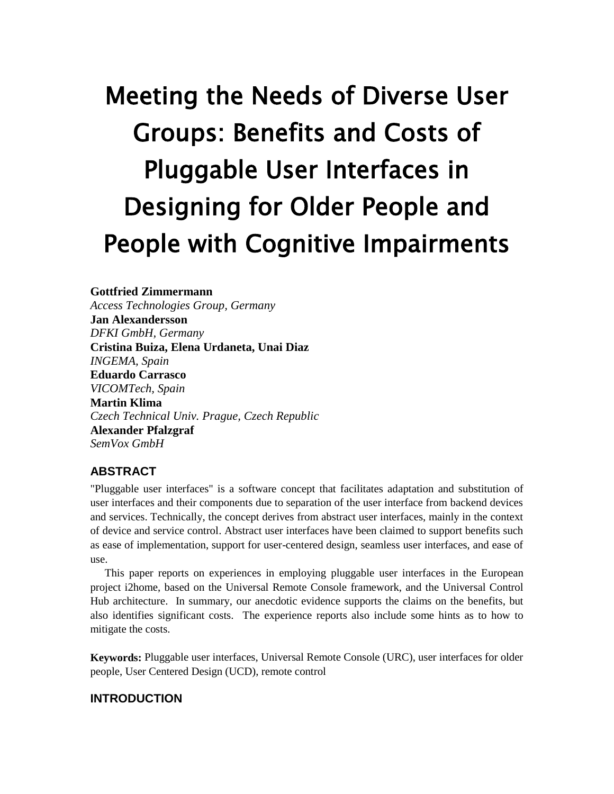# Meeting the Needs of Diverse User Groups: Benefits and Costs of Pluggable User Interfaces in Designing for Older People and People with Cognitive Impairments

**Gottfried Zimmermann**

*Access Technologies Group, Germany* **Jan Alexandersson** *DFKI GmbH, Germany* **Cristina Buiza, Elena Urdaneta, Unai Diaz** *INGEMA, Spain* **Eduardo Carrasco** *VICOMTech, Spain* **Martin Klima** *Czech Technical Univ. Prague, Czech Republic* **Alexander Pfalzgraf** *SemVox GmbH*

# **ABSTRACT**

"Pluggable user interfaces" is a software concept that facilitates adaptation and substitution of user interfaces and their components due to separation of the user interface from backend devices and services. Technically, the concept derives from abstract user interfaces, mainly in the context of device and service control. Abstract user interfaces have been claimed to support benefits such as ease of implementation, support for user-centered design, seamless user interfaces, and ease of use.

This paper reports on experiences in employing pluggable user interfaces in the European project i2home, based on the Universal Remote Console framework, and the Universal Control Hub architecture. In summary, our anecdotic evidence supports the claims on the benefits, but also identifies significant costs. The experience reports also include some hints as to how to mitigate the costs.

**Keywords:** Pluggable user interfaces, Universal Remote Console (URC), user interfaces for older people, User Centered Design (UCD), remote control

# **INTRODUCTION**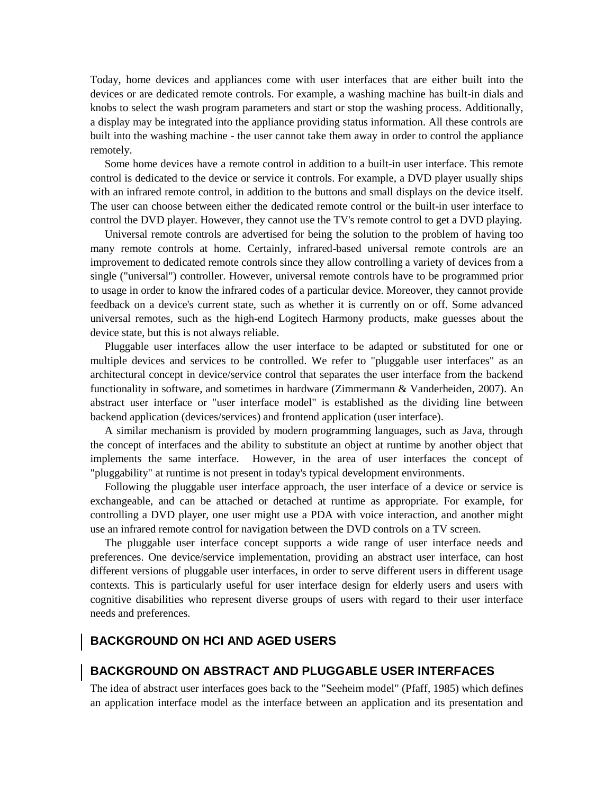Today, home devices and appliances come with user interfaces that are either built into the devices or are dedicated remote controls. For example, a washing machine has built-in dials and knobs to select the wash program parameters and start or stop the washing process. Additionally, a display may be integrated into the appliance providing status information. All these controls are built into the washing machine - the user cannot take them away in order to control the appliance remotely.

Some home devices have a remote control in addition to a built-in user interface. This remote control is dedicated to the device or service it controls. For example, a DVD player usually ships with an infrared remote control, in addition to the buttons and small displays on the device itself. The user can choose between either the dedicated remote control or the built-in user interface to control the DVD player. However, they cannot use the TV's remote control to get a DVD playing.

Universal remote controls are advertised for being the solution to the problem of having too many remote controls at home. Certainly, infrared-based universal remote controls are an improvement to dedicated remote controls since they allow controlling a variety of devices from a single ("universal") controller. However, universal remote controls have to be programmed prior to usage in order to know the infrared codes of a particular device. Moreover, they cannot provide feedback on a device's current state, such as whether it is currently on or off. Some advanced universal remotes, such as the high-end Logitech Harmony products, make guesses about the device state, but this is not always reliable.

Pluggable user interfaces allow the user interface to be adapted or substituted for one or multiple devices and services to be controlled. We refer to "pluggable user interfaces" as an architectural concept in device/service control that separates the user interface from the backend functionality in software, and sometimes in hardware (Zimmermann & Vanderheiden, 2007). An abstract user interface or "user interface model" is established as the dividing line between backend application (devices/services) and frontend application (user interface).

A similar mechanism is provided by modern programming languages, such as Java, through the concept of interfaces and the ability to substitute an object at runtime by another object that implements the same interface. However, in the area of user interfaces the concept of "pluggability" at runtime is not present in today's typical development environments.

Following the pluggable user interface approach, the user interface of a device or service is exchangeable, and can be attached or detached at runtime as appropriate. For example, for controlling a DVD player, one user might use a PDA with voice interaction, and another might use an infrared remote control for navigation between the DVD controls on a TV screen.

The pluggable user interface concept supports a wide range of user interface needs and preferences. One device/service implementation, providing an abstract user interface, can host different versions of pluggable user interfaces, in order to serve different users in different usage contexts. This is particularly useful for user interface design for elderly users and users with cognitive disabilities who represent diverse groups of users with regard to their user interface needs and preferences.

# **BACKGROUND ON HCI AND AGED USERS**

#### **BACKGROUND ON ABSTRACT AND PLUGGABLE USER INTERFACES**

The idea of abstract user interfaces goes back to the "Seeheim model" (Pfaff, 1985) which defines an application interface model as the interface between an application and its presentation and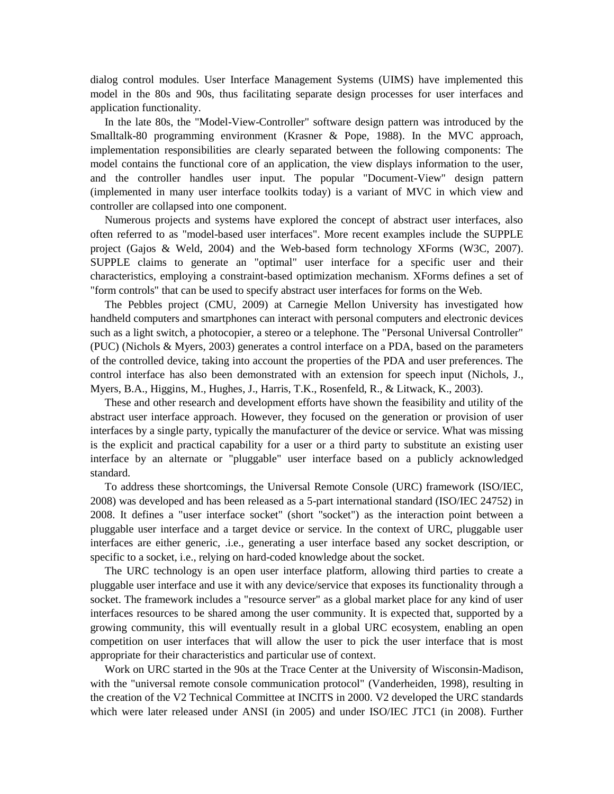dialog control modules. User Interface Management Systems (UIMS) have implemented this model in the 80s and 90s, thus facilitating separate design processes for user interfaces and application functionality.

In the late 80s, the "Model-View-Controller" software design pattern was introduced by the Smalltalk-80 programming environment (Krasner & Pope, 1988). In the MVC approach, implementation responsibilities are clearly separated between the following components: The model contains the functional core of an application, the view displays information to the user, and the controller handles user input. The popular "Document-View" design pattern (implemented in many user interface toolkits today) is a variant of MVC in which view and controller are collapsed into one component.

Numerous projects and systems have explored the concept of abstract user interfaces, also often referred to as "model-based user interfaces". More recent examples include the SUPPLE project (Gajos & Weld, 2004) and the Web-based form technology XForms (W3C, 2007). SUPPLE claims to generate an "optimal" user interface for a specific user and their characteristics, employing a constraint-based optimization mechanism. XForms defines a set of "form controls" that can be used to specify abstract user interfaces for forms on the Web.

The Pebbles project (CMU, 2009) at Carnegie Mellon University has investigated how handheld computers and smartphones can interact with personal computers and electronic devices such as a light switch, a photocopier, a stereo or a telephone. The "Personal Universal Controller" (PUC) (Nichols & Myers, 2003) generates a control interface on a PDA, based on the parameters of the controlled device, taking into account the properties of the PDA and user preferences. The control interface has also been demonstrated with an extension for speech input (Nichols, J., Myers, B.A., Higgins, M., Hughes, J., Harris, T.K., Rosenfeld, R., & Litwack, K., 2003).

These and other research and development efforts have shown the feasibility and utility of the abstract user interface approach. However, they focused on the generation or provision of user interfaces by a single party, typically the manufacturer of the device or service. What was missing is the explicit and practical capability for a user or a third party to substitute an existing user interface by an alternate or "pluggable" user interface based on a publicly acknowledged standard.

To address these shortcomings, the Universal Remote Console (URC) framework (ISO/IEC, 2008) was developed and has been released as a 5-part international standard (ISO/IEC 24752) in 2008. It defines a "user interface socket" (short "socket") as the interaction point between a pluggable user interface and a target device or service. In the context of URC, pluggable user interfaces are either generic, .i.e., generating a user interface based any socket description, or specific to a socket, i.e., relying on hard-coded knowledge about the socket.

The URC technology is an open user interface platform, allowing third parties to create a pluggable user interface and use it with any device/service that exposes its functionality through a socket. The framework includes a "resource server" as a global market place for any kind of user interfaces resources to be shared among the user community. It is expected that, supported by a growing community, this will eventually result in a global URC ecosystem, enabling an open competition on user interfaces that will allow the user to pick the user interface that is most appropriate for their characteristics and particular use of context.

Work on URC started in the 90s at the Trace Center at the University of Wisconsin-Madison, with the "universal remote console communication protocol" (Vanderheiden, 1998), resulting in the creation of the V2 Technical Committee at INCITS in 2000. V2 developed the URC standards which were later released under ANSI (in 2005) and under ISO/IEC JTC1 (in 2008). Further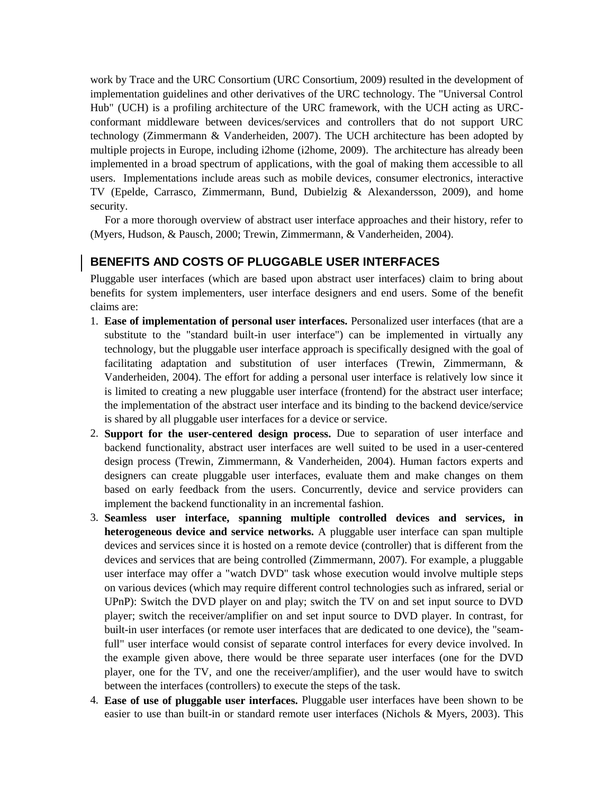work by Trace and the URC Consortium (URC Consortium, 2009) resulted in the development of implementation guidelines and other derivatives of the URC technology. The "Universal Control Hub" (UCH) is a profiling architecture of the URC framework, with the UCH acting as URCconformant middleware between devices/services and controllers that do not support URC technology (Zimmermann & Vanderheiden, 2007). The UCH architecture has been adopted by multiple projects in Europe, including i2home (i2home, 2009). The architecture has already been implemented in a broad spectrum of applications, with the goal of making them accessible to all users. Implementations include areas such as mobile devices, consumer electronics, interactive TV (Epelde, Carrasco, Zimmermann, Bund, Dubielzig & Alexandersson, 2009), and home security.

For a more thorough overview of abstract user interface approaches and their history, refer to (Myers, Hudson, & Pausch, 2000; Trewin, Zimmermann, & Vanderheiden, 2004).

## **BENEFITS AND COSTS OF PLUGGABLE USER INTERFACES**

Pluggable user interfaces (which are based upon abstract user interfaces) claim to bring about benefits for system implementers, user interface designers and end users. Some of the benefit claims are:

- 1. **Ease of implementation of personal user interfaces.** Personalized user interfaces (that are a substitute to the "standard built-in user interface") can be implemented in virtually any technology, but the pluggable user interface approach is specifically designed with the goal of facilitating adaptation and substitution of user interfaces (Trewin, Zimmermann, & Vanderheiden, 2004). The effort for adding a personal user interface is relatively low since it is limited to creating a new pluggable user interface (frontend) for the abstract user interface; the implementation of the abstract user interface and its binding to the backend device/service is shared by all pluggable user interfaces for a device or service.
- 2. **Support for the user-centered design process.** Due to separation of user interface and backend functionality, abstract user interfaces are well suited to be used in a user-centered design process (Trewin, Zimmermann, & Vanderheiden, 2004). Human factors experts and designers can create pluggable user interfaces, evaluate them and make changes on them based on early feedback from the users. Concurrently, device and service providers can implement the backend functionality in an incremental fashion.
- 3. **Seamless user interface, spanning multiple controlled devices and services, in heterogeneous device and service networks.** A pluggable user interface can span multiple devices and services since it is hosted on a remote device (controller) that is different from the devices and services that are being controlled (Zimmermann, 2007). For example, a pluggable user interface may offer a "watch DVD" task whose execution would involve multiple steps on various devices (which may require different control technologies such as infrared, serial or UPnP): Switch the DVD player on and play; switch the TV on and set input source to DVD player; switch the receiver/amplifier on and set input source to DVD player. In contrast, for built-in user interfaces (or remote user interfaces that are dedicated to one device), the "seamfull" user interface would consist of separate control interfaces for every device involved. In the example given above, there would be three separate user interfaces (one for the DVD player, one for the TV, and one the receiver/amplifier), and the user would have to switch between the interfaces (controllers) to execute the steps of the task.
- 4. **Ease of use of pluggable user interfaces.** Pluggable user interfaces have been shown to be easier to use than built-in or standard remote user interfaces (Nichols & Myers, 2003). This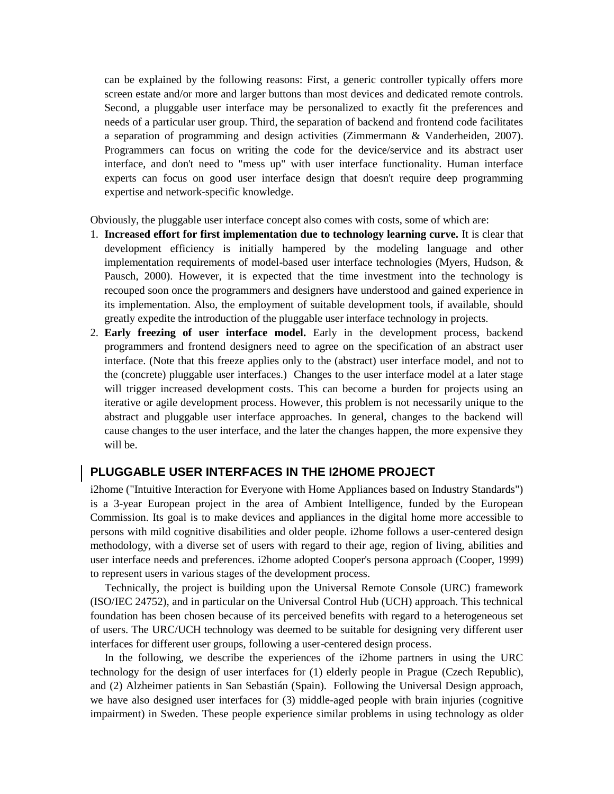can be explained by the following reasons: First, a generic controller typically offers more screen estate and/or more and larger buttons than most devices and dedicated remote controls. Second, a pluggable user interface may be personalized to exactly fit the preferences and needs of a particular user group. Third, the separation of backend and frontend code facilitates a separation of programming and design activities (Zimmermann & Vanderheiden, 2007). Programmers can focus on writing the code for the device/service and its abstract user interface, and don't need to "mess up" with user interface functionality. Human interface experts can focus on good user interface design that doesn't require deep programming expertise and network-specific knowledge.

Obviously, the pluggable user interface concept also comes with costs, some of which are:

- 1. **Increased effort for first implementation due to technology learning curve.** It is clear that development efficiency is initially hampered by the modeling language and other implementation requirements of model-based user interface technologies (Myers, Hudson, & Pausch, 2000). However, it is expected that the time investment into the technology is recouped soon once the programmers and designers have understood and gained experience in its implementation. Also, the employment of suitable development tools, if available, should greatly expedite the introduction of the pluggable user interface technology in projects.
- 2. **Early freezing of user interface model.** Early in the development process, backend programmers and frontend designers need to agree on the specification of an abstract user interface. (Note that this freeze applies only to the (abstract) user interface model, and not to the (concrete) pluggable user interfaces.) Changes to the user interface model at a later stage will trigger increased development costs. This can become a burden for projects using an iterative or agile development process. However, this problem is not necessarily unique to the abstract and pluggable user interface approaches. In general, changes to the backend will cause changes to the user interface, and the later the changes happen, the more expensive they will be.

#### **PLUGGABLE USER INTERFACES IN THE I2HOME PROJECT**

i2home ("Intuitive Interaction for Everyone with Home Appliances based on Industry Standards") is a 3-year European project in the area of Ambient Intelligence, funded by the European Commission. Its goal is to make devices and appliances in the digital home more accessible to persons with mild cognitive disabilities and older people. i2home follows a user-centered design methodology, with a diverse set of users with regard to their age, region of living, abilities and user interface needs and preferences. i2home adopted Cooper's persona approach (Cooper, 1999) to represent users in various stages of the development process.

Technically, the project is building upon the Universal Remote Console (URC) framework (ISO/IEC 24752), and in particular on the Universal Control Hub (UCH) approach. This technical foundation has been chosen because of its perceived benefits with regard to a heterogeneous set of users. The URC/UCH technology was deemed to be suitable for designing very different user interfaces for different user groups, following a user-centered design process.

In the following, we describe the experiences of the i2home partners in using the URC technology for the design of user interfaces for (1) elderly people in Prague (Czech Republic), and (2) Alzheimer patients in San Sebastián (Spain). Following the Universal Design approach, we have also designed user interfaces for (3) middle-aged people with brain injuries (cognitive impairment) in Sweden. These people experience similar problems in using technology as older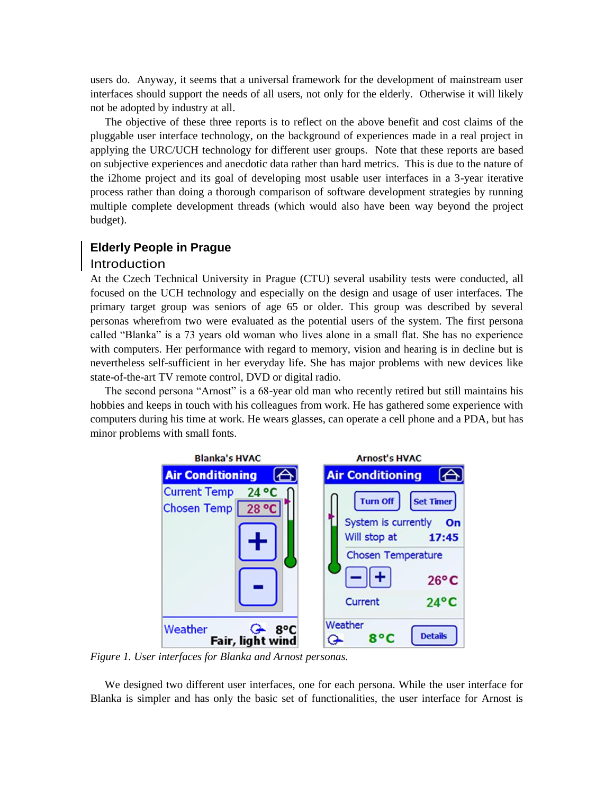users do. Anyway, it seems that a universal framework for the development of mainstream user interfaces should support the needs of all users, not only for the elderly. Otherwise it will likely not be adopted by industry at all.

The objective of these three reports is to reflect on the above benefit and cost claims of the pluggable user interface technology, on the background of experiences made in a real project in applying the URC/UCH technology for different user groups. Note that these reports are based on subjective experiences and anecdotic data rather than hard metrics. This is due to the nature of the i2home project and its goal of developing most usable user interfaces in a 3-year iterative process rather than doing a thorough comparison of software development strategies by running multiple complete development threads (which would also have been way beyond the project budget).

## **Elderly People in Prague**

## **Introduction**

At the Czech Technical University in Prague (CTU) several usability tests were conducted, all focused on the UCH technology and especially on the design and usage of user interfaces. The primary target group was seniors of age 65 or older. This group was described by several personas wherefrom two were evaluated as the potential users of the system. The first persona called "Blanka" is a 73 years old woman who lives alone in a small flat. She has no experience with computers. Her performance with regard to memory, vision and hearing is in decline but is nevertheless self-sufficient in her everyday life. She has major problems with new devices like state-of-the-art TV remote control, DVD or digital radio.

The second persona "Arnost" is a 68-year old man who recently retired but still maintains his hobbies and keeps in touch with his colleagues from work. He has gathered some experience with computers during his time at work. He wears glasses, can operate a cell phone and a PDA, but has minor problems with small fonts.



*Figure 1. User interfaces for Blanka and Arnost personas.*

We designed two different user interfaces, one for each persona. While the user interface for Blanka is simpler and has only the basic set of functionalities, the user interface for Arnost is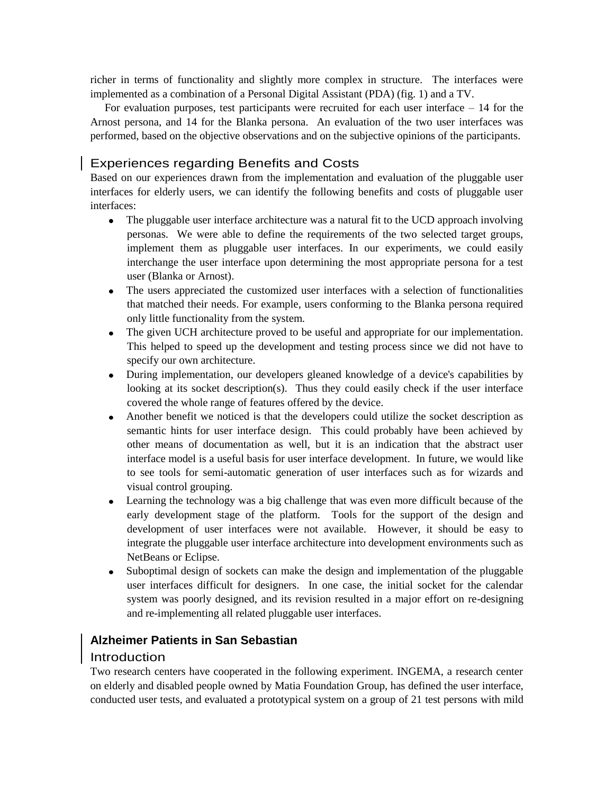richer in terms of functionality and slightly more complex in structure. The interfaces were implemented as a combination of a Personal Digital Assistant (PDA) (fig. 1) and a TV.

For evaluation purposes, test participants were recruited for each user interface – 14 for the Arnost persona, and 14 for the Blanka persona. An evaluation of the two user interfaces was performed, based on the objective observations and on the subjective opinions of the participants.

#### Experiences regarding Benefits and Costs

Based on our experiences drawn from the implementation and evaluation of the pluggable user interfaces for elderly users, we can identify the following benefits and costs of pluggable user interfaces:

- The pluggable user interface architecture was a natural fit to the UCD approach involving  $\bullet$ personas. We were able to define the requirements of the two selected target groups, implement them as pluggable user interfaces. In our experiments, we could easily interchange the user interface upon determining the most appropriate persona for a test user (Blanka or Arnost).
- The users appreciated the customized user interfaces with a selection of functionalities that matched their needs. For example, users conforming to the Blanka persona required only little functionality from the system.
- The given UCH architecture proved to be useful and appropriate for our implementation. This helped to speed up the development and testing process since we did not have to specify our own architecture.
- During implementation, our developers gleaned knowledge of a device's capabilities by looking at its socket description(s). Thus they could easily check if the user interface covered the whole range of features offered by the device.
- Another benefit we noticed is that the developers could utilize the socket description as semantic hints for user interface design. This could probably have been achieved by other means of documentation as well, but it is an indication that the abstract user interface model is a useful basis for user interface development. In future, we would like to see tools for semi-automatic generation of user interfaces such as for wizards and visual control grouping.
- Learning the technology was a big challenge that was even more difficult because of the early development stage of the platform. Tools for the support of the design and development of user interfaces were not available. However, it should be easy to integrate the pluggable user interface architecture into development environments such as NetBeans or Eclipse.
- Suboptimal design of sockets can make the design and implementation of the pluggable user interfaces difficult for designers. In one case, the initial socket for the calendar system was poorly designed, and its revision resulted in a major effort on re-designing and re-implementing all related pluggable user interfaces.

#### **Alzheimer Patients in San Sebastian**

#### Introduction

Two research centers have cooperated in the following experiment. INGEMA, a research center on elderly and disabled people owned by Matia Foundation Group, has defined the user interface, conducted user tests, and evaluated a prototypical system on a group of 21 test persons with mild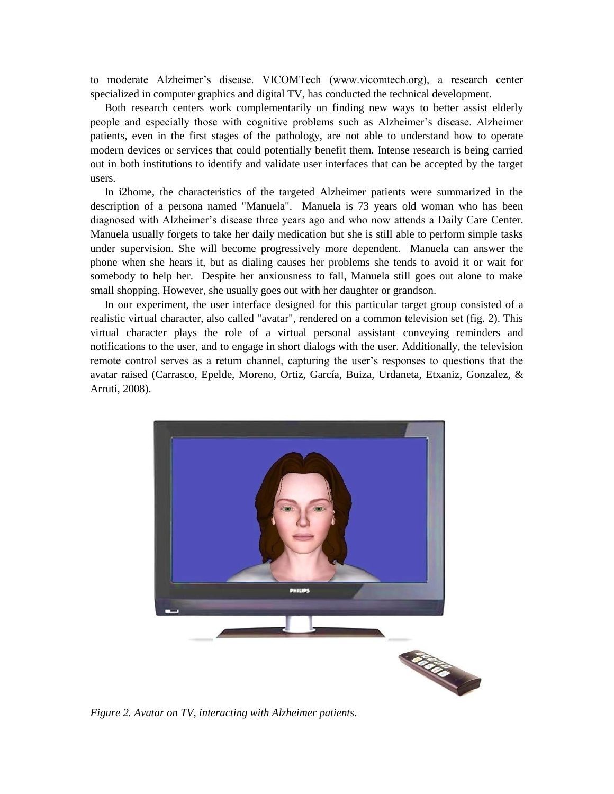to moderate Alzheimer's disease. VICOMTech (www.vicomtech.org), a research center specialized in computer graphics and digital TV, has conducted the technical development.

Both research centers work complementarily on finding new ways to better assist elderly people and especially those with cognitive problems such as Alzheimer's disease. Alzheimer patients, even in the first stages of the pathology, are not able to understand how to operate modern devices or services that could potentially benefit them. Intense research is being carried out in both institutions to identify and validate user interfaces that can be accepted by the target users.

In i2home, the characteristics of the targeted Alzheimer patients were summarized in the description of a persona named "Manuela". Manuela is 73 years old woman who has been diagnosed with Alzheimer's disease three years ago and who now attends a Daily Care Center. Manuela usually forgets to take her daily medication but she is still able to perform simple tasks under supervision. She will become progressively more dependent. Manuela can answer the phone when she hears it, but as dialing causes her problems she tends to avoid it or wait for somebody to help her. Despite her anxiousness to fall, Manuela still goes out alone to make small shopping. However, she usually goes out with her daughter or grandson.

In our experiment, the user interface designed for this particular target group consisted of a realistic virtual character, also called "avatar", rendered on a common television set (fig. 2). This virtual character plays the role of a virtual personal assistant conveying reminders and notifications to the user, and to engage in short dialogs with the user. Additionally, the television remote control serves as a return channel, capturing the user's responses to questions that the avatar raised (Carrasco, Epelde, Moreno, Ortiz, García, Buiza, Urdaneta, Etxaniz, Gonzalez, & Arruti, 2008).



*Figure 2. Avatar on TV, interacting with Alzheimer patients.*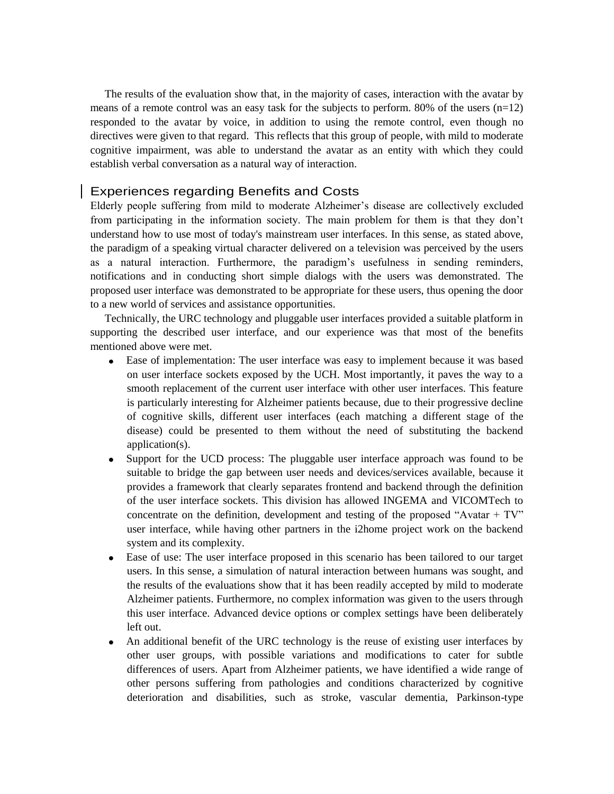The results of the evaluation show that, in the majority of cases, interaction with the avatar by means of a remote control was an easy task for the subjects to perform. 80% of the users  $(n=12)$ responded to the avatar by voice, in addition to using the remote control, even though no directives were given to that regard. This reflects that this group of people, with mild to moderate cognitive impairment, was able to understand the avatar as an entity with which they could establish verbal conversation as a natural way of interaction.

#### Experiences regarding Benefits and Costs

Elderly people suffering from mild to moderate Alzheimer's disease are collectively excluded from participating in the information society. The main problem for them is that they don't understand how to use most of today's mainstream user interfaces. In this sense, as stated above, the paradigm of a speaking virtual character delivered on a television was perceived by the users as a natural interaction. Furthermore, the paradigm's usefulness in sending reminders, notifications and in conducting short simple dialogs with the users was demonstrated. The proposed user interface was demonstrated to be appropriate for these users, thus opening the door to a new world of services and assistance opportunities.

Technically, the URC technology and pluggable user interfaces provided a suitable platform in supporting the described user interface, and our experience was that most of the benefits mentioned above were met.

- Ease of implementation: The user interface was easy to implement because it was based on user interface sockets exposed by the UCH. Most importantly, it paves the way to a smooth replacement of the current user interface with other user interfaces. This feature is particularly interesting for Alzheimer patients because, due to their progressive decline of cognitive skills, different user interfaces (each matching a different stage of the disease) could be presented to them without the need of substituting the backend application(s).
- Support for the UCD process: The pluggable user interface approach was found to be  $\bullet$ suitable to bridge the gap between user needs and devices/services available, because it provides a framework that clearly separates frontend and backend through the definition of the user interface sockets. This division has allowed INGEMA and VICOMTech to concentrate on the definition, development and testing of the proposed "Avatar  $+ TV$ " user interface, while having other partners in the i2home project work on the backend system and its complexity.
- Ease of use: The user interface proposed in this scenario has been tailored to our target users. In this sense, a simulation of natural interaction between humans was sought, and the results of the evaluations show that it has been readily accepted by mild to moderate Alzheimer patients. Furthermore, no complex information was given to the users through this user interface. Advanced device options or complex settings have been deliberately left out.
- An additional benefit of the URC technology is the reuse of existing user interfaces by  $\bullet$ other user groups, with possible variations and modifications to cater for subtle differences of users. Apart from Alzheimer patients, we have identified a wide range of other persons suffering from pathologies and conditions characterized by cognitive deterioration and disabilities, such as stroke, vascular dementia, Parkinson-type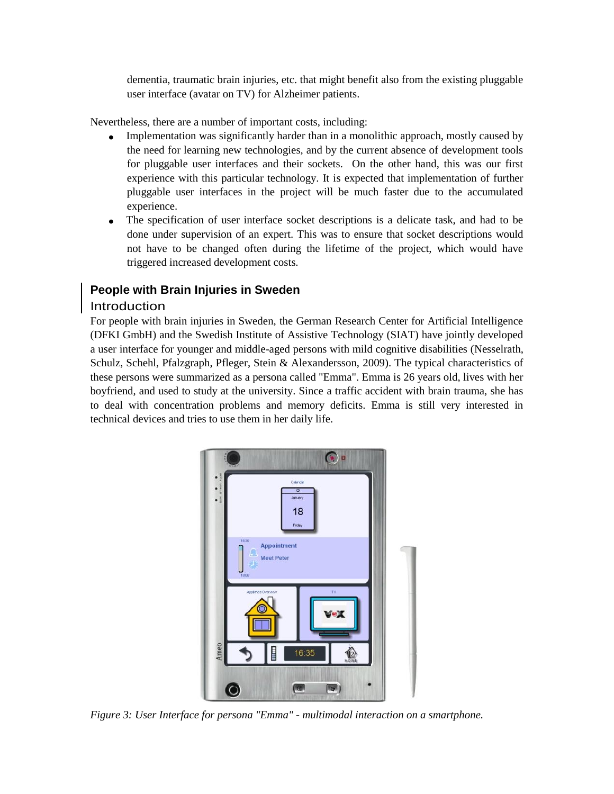dementia, traumatic brain injuries, etc. that might benefit also from the existing pluggable user interface (avatar on TV) for Alzheimer patients.

Nevertheless, there are a number of important costs, including:

- Implementation was significantly harder than in a monolithic approach, mostly caused by the need for learning new technologies, and by the current absence of development tools for pluggable user interfaces and their sockets. On the other hand, this was our first experience with this particular technology. It is expected that implementation of further pluggable user interfaces in the project will be much faster due to the accumulated experience.
- The specification of user interface socket descriptions is a delicate task, and had to be done under supervision of an expert. This was to ensure that socket descriptions would not have to be changed often during the lifetime of the project, which would have triggered increased development costs.

## **People with Brain Injuries in Sweden**

## **Introduction**

For people with brain injuries in Sweden, the German Research Center for Artificial Intelligence (DFKI GmbH) and the Swedish Institute of Assistive Technology (SIAT) have jointly developed a user interface for younger and middle-aged persons with mild cognitive disabilities (Nesselrath, Schulz, Schehl, Pfalzgraph, Pfleger, Stein & Alexandersson, 2009). The typical characteristics of these persons were summarized as a persona called "Emma". Emma is 26 years old, lives with her boyfriend, and used to study at the university. Since a traffic accident with brain trauma, she has to deal with concentration problems and memory deficits. Emma is still very interested in technical devices and tries to use them in her daily life.



*Figure 3: User Interface for persona "Emma" - multimodal interaction on a smartphone.*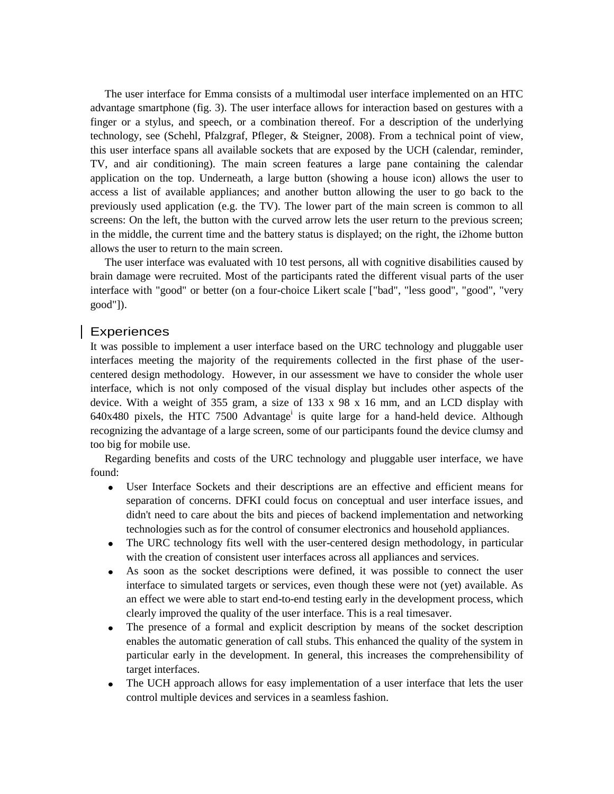The user interface for Emma consists of a multimodal user interface implemented on an HTC advantage smartphone (fig. 3). The user interface allows for interaction based on gestures with a finger or a stylus, and speech, or a combination thereof. For a description of the underlying technology, see (Schehl, Pfalzgraf, Pfleger, & Steigner, 2008). From a technical point of view, this user interface spans all available sockets that are exposed by the UCH (calendar, reminder, TV, and air conditioning). The main screen features a large pane containing the calendar application on the top. Underneath, a large button (showing a house icon) allows the user to access a list of available appliances; and another button allowing the user to go back to the previously used application (e.g. the TV). The lower part of the main screen is common to all screens: On the left, the button with the curved arrow lets the user return to the previous screen; in the middle, the current time and the battery status is displayed; on the right, the i2home button allows the user to return to the main screen.

The user interface was evaluated with 10 test persons, all with cognitive disabilities caused by brain damage were recruited. Most of the participants rated the different visual parts of the user interface with "good" or better (on a four-choice Likert scale ["bad", "less good", "good", "very good"]).

#### **Experiences**

It was possible to implement a user interface based on the URC technology and pluggable user interfaces meeting the majority of the requirements collected in the first phase of the usercentered design methodology. However, in our assessment we have to consider the whole user interface, which is not only composed of the visual display but includes other aspects of the device. With a weight of 355 gram, a size of 133 x 98 x 16 mm, and an LCD display with  $640x480$  pixels, the HTC 7500 Advantage<sup>i</sup> is quite large for a hand-held device. Although recognizing the advantage of a large screen, some of our participants found the device clumsy and too big for mobile use.

Regarding benefits and costs of the URC technology and pluggable user interface, we have found:

- User Interface Sockets and their descriptions are an effective and efficient means for separation of concerns. DFKI could focus on conceptual and user interface issues, and didn't need to care about the bits and pieces of backend implementation and networking technologies such as for the control of consumer electronics and household appliances.
- The URC technology fits well with the user-centered design methodology, in particular with the creation of consistent user interfaces across all appliances and services.
- As soon as the socket descriptions were defined, it was possible to connect the user interface to simulated targets or services, even though these were not (yet) available. As an effect we were able to start end-to-end testing early in the development process, which clearly improved the quality of the user interface. This is a real timesaver.
- The presence of a formal and explicit description by means of the socket description  $\bullet$ enables the automatic generation of call stubs. This enhanced the quality of the system in particular early in the development. In general, this increases the comprehensibility of target interfaces.
- The UCH approach allows for easy implementation of a user interface that lets the user control multiple devices and services in a seamless fashion.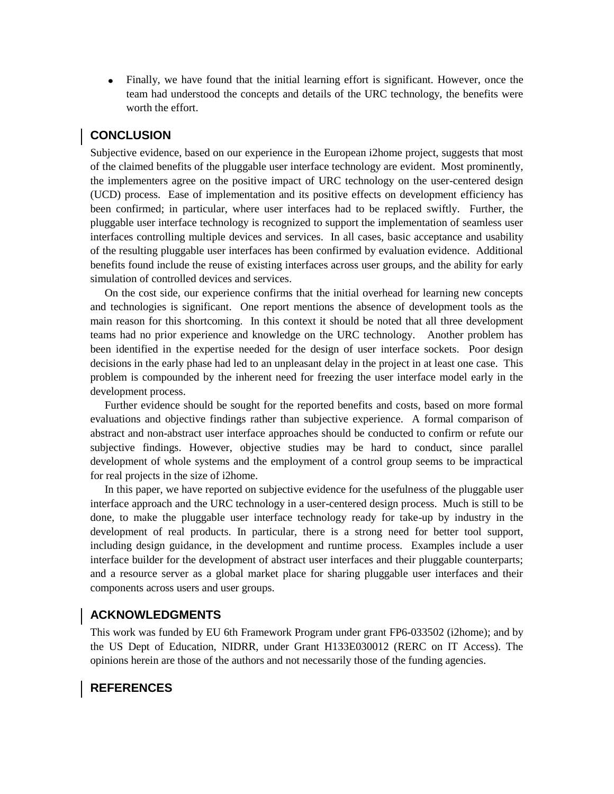Finally, we have found that the initial learning effort is significant. However, once the team had understood the concepts and details of the URC technology, the benefits were worth the effort.

# **CONCLUSION**

Subjective evidence, based on our experience in the European i2home project, suggests that most of the claimed benefits of the pluggable user interface technology are evident. Most prominently, the implementers agree on the positive impact of URC technology on the user-centered design (UCD) process. Ease of implementation and its positive effects on development efficiency has been confirmed; in particular, where user interfaces had to be replaced swiftly. Further, the pluggable user interface technology is recognized to support the implementation of seamless user interfaces controlling multiple devices and services. In all cases, basic acceptance and usability of the resulting pluggable user interfaces has been confirmed by evaluation evidence. Additional benefits found include the reuse of existing interfaces across user groups, and the ability for early simulation of controlled devices and services.

On the cost side, our experience confirms that the initial overhead for learning new concepts and technologies is significant. One report mentions the absence of development tools as the main reason for this shortcoming. In this context it should be noted that all three development teams had no prior experience and knowledge on the URC technology. Another problem has been identified in the expertise needed for the design of user interface sockets. Poor design decisions in the early phase had led to an unpleasant delay in the project in at least one case. This problem is compounded by the inherent need for freezing the user interface model early in the development process.

Further evidence should be sought for the reported benefits and costs, based on more formal evaluations and objective findings rather than subjective experience. A formal comparison of abstract and non-abstract user interface approaches should be conducted to confirm or refute our subjective findings. However, objective studies may be hard to conduct, since parallel development of whole systems and the employment of a control group seems to be impractical for real projects in the size of i2home.

In this paper, we have reported on subjective evidence for the usefulness of the pluggable user interface approach and the URC technology in a user-centered design process. Much is still to be done, to make the pluggable user interface technology ready for take-up by industry in the development of real products. In particular, there is a strong need for better tool support, including design guidance, in the development and runtime process. Examples include a user interface builder for the development of abstract user interfaces and their pluggable counterparts; and a resource server as a global market place for sharing pluggable user interfaces and their components across users and user groups.

## **ACKNOWLEDGMENTS**

This work was funded by EU 6th Framework Program under grant FP6-033502 (i2home); and by the US Dept of Education, NIDRR, under Grant H133E030012 (RERC on IT Access). The opinions herein are those of the authors and not necessarily those of the funding agencies.

# **REFERENCES**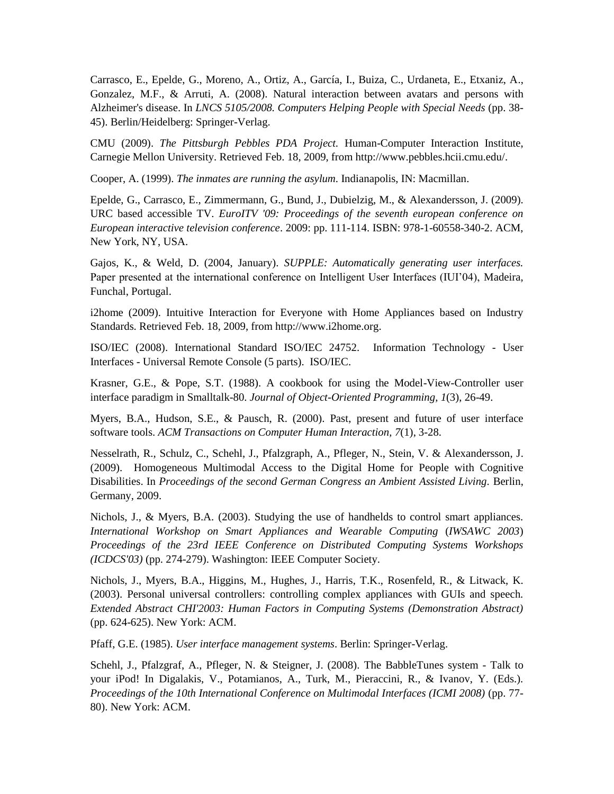Carrasco, E., Epelde, G., Moreno, A., Ortiz, A., García, I., Buiza, C., Urdaneta, E., Etxaniz, A., Gonzalez, M.F., & Arruti, A. (2008). Natural interaction between avatars and persons with Alzheimer's disease. In *LNCS 5105/2008. Computers Helping People with Special Needs* (pp. 38- 45). Berlin/Heidelberg: Springer-Verlag.

CMU (2009). *The Pittsburgh Pebbles PDA Project.* Human-Computer Interaction Institute, Carnegie Mellon University. Retrieved Feb. 18, 2009, from http://www.pebbles.hcii.cmu.edu/.

Cooper, A. (1999). *The inmates are running the asylum*. Indianapolis, IN: Macmillan.

Epelde, G., Carrasco, E., Zimmermann, G., Bund, J., Dubielzig, M., & Alexandersson, J. (2009). URC based accessible TV. *EuroITV '09: Proceedings of the seventh european conference on European interactive television conference*. 2009: pp. 111-114. ISBN: 978-1-60558-340-2. ACM, New York, NY, USA.

Gajos, K., & Weld, D. (2004, January). *SUPPLE: Automatically generating user interfaces.*  Paper presented at the international conference on Intelligent User Interfaces (IUI'04), Madeira, Funchal, Portugal.

i2home (2009). Intuitive Interaction for Everyone with Home Appliances based on Industry Standards. Retrieved Feb. 18, 2009, from http://www.i2home.org.

ISO/IEC (2008). International Standard ISO/IEC 24752. Information Technology - User Interfaces - Universal Remote Console (5 parts). ISO/IEC.

Krasner, G.E., & Pope, S.T. (1988). A cookbook for using the Model-View-Controller user interface paradigm in Smalltalk-80. *Journal of Object-Oriented Programming, 1*(3), 26-49.

Myers, B.A., Hudson, S.E., & Pausch, R. (2000). Past, present and future of user interface software tools. *ACM Transactions on Computer Human Interaction, 7*(1), 3-28.

Nesselrath, R., Schulz, C., Schehl, J., Pfalzgraph, A., Pfleger, N., Stein, V. & Alexandersson, J. (2009). Homogeneous Multimodal Access to the Digital Home for People with Cognitive Disabilities. In *Proceedings of the second German Congress an Ambient Assisted Living.* Berlin, Germany, 2009.

Nichols, J., & Myers, B.A. (2003). Studying the use of handhelds to control smart appliances. *International Workshop on Smart Appliances and Wearable Computing* (*IWSAWC 2003*) *Proceedings of the 23rd IEEE Conference on Distributed Computing Systems Workshops (ICDCS'03)* (pp. 274-279). Washington: IEEE Computer Society.

Nichols, J., Myers, B.A., Higgins, M., Hughes, J., Harris, T.K., Rosenfeld, R., & Litwack, K. (2003). Personal universal controllers: controlling complex appliances with GUIs and speech. *Extended Abstract CHI'2003: Human Factors in Computing Systems (Demonstration Abstract)*  (pp. 624-625). New York: ACM.

Pfaff, G.E. (1985). *User interface management systems*. Berlin: Springer-Verlag.

Schehl, J., Pfalzgraf, A., Pfleger, N. & Steigner, J. (2008). The BabbleTunes system - Talk to your iPod! In Digalakis, V., Potamianos, A., Turk, M., Pieraccini, R., & Ivanov, Y. (Eds.). *Proceedings of the 10th International Conference on Multimodal Interfaces (ICMI 2008)* (pp. 77- 80). New York: ACM.